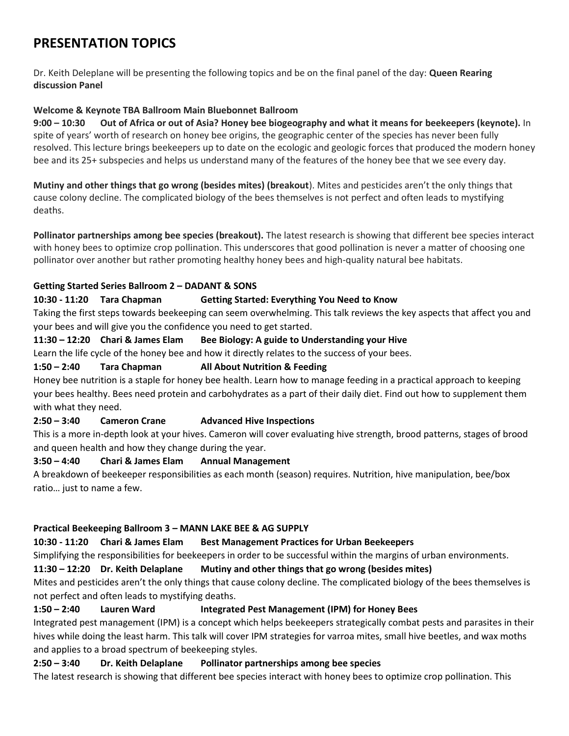# **PRESENTATION TOPICS**

Dr. Keith Deleplane will be presenting the following topics and be on the final panel of the day: **Queen Rearing discussion Panel**

# **Welcome & Keynote TBA Ballroom Main Bluebonnet Ballroom**

**9:00 – 10:30 Out of Africa or out of Asia? Honey bee biogeography and what it means for beekeepers (keynote).** In spite of years' worth of research on honey bee origins, the geographic center of the species has never been fully resolved. This lecture brings beekeepers up to date on the ecologic and geologic forces that produced the modern honey bee and its 25+ subspecies and helps us understand many of the features of the honey bee that we see every day.

**Mutiny and other things that go wrong (besides mites) (breakout**). Mites and pesticides aren't the only things that cause colony decline. The complicated biology of the bees themselves is not perfect and often leads to mystifying deaths.

**Pollinator partnerships among bee species (breakout).** The latest research is showing that different bee species interact with honey bees to optimize crop pollination. This underscores that good pollination is never a matter of choosing one pollinator over another but rather promoting healthy honey bees and high-quality natural bee habitats.

#### **Getting Started Series Ballroom 2 – DADANT & SONS**

# **10:30 - 11:20 Tara Chapman Getting Started: Everything You Need to Know**

Taking the first steps towards beekeeping can seem overwhelming. This talk reviews the key aspects that affect you and your bees and will give you the confidence you need to get started.

#### **11:30 – 12:20 Chari & James Elam Bee Biology: A guide to Understanding your Hive**

Learn the life cycle of the honey bee and how it directly relates to the success of your bees.

#### **1:50 – 2:40 Tara Chapman All About Nutrition & Feeding**

Honey bee nutrition is a staple for honey bee health. Learn how to manage feeding in a practical approach to keeping your bees healthy. Bees need protein and carbohydrates as a part of their daily diet. Find out how to supplement them with what they need.

# **2:50 – 3:40 Cameron Crane Advanced Hive Inspections**

This is a more in-depth look at your hives. Cameron will cover evaluating hive strength, brood patterns, stages of brood and queen health and how they change during the year.

# **3:50 – 4:40 Chari & James Elam Annual Management**

A breakdown of beekeeper responsibilities as each month (season) requires. Nutrition, hive manipulation, bee/box ratio… just to name a few.

#### **Practical Beekeeping Ballroom 3 – MANN LAKE BEE & AG SUPPLY**

#### **10:30 - 11:20 Chari & James Elam Best Management Practices for Urban Beekeepers**

Simplifying the responsibilities for beekeepers in order to be successful within the margins of urban environments.

# **11:30 – 12:20 Dr. Keith Delaplane Mutiny and other things that go wrong (besides mites)**

Mites and pesticides aren't the only things that cause colony decline. The complicated biology of the bees themselves is not perfect and often leads to mystifying deaths.

# **1:50 – 2:40 Lauren Ward Integrated Pest Management (IPM) for Honey Bees**

Integrated pest management (IPM) is a concept which helps beekeepers strategically combat pests and parasites in their hives while doing the least harm. This talk will cover IPM strategies for varroa mites, small hive beetles, and wax moths and applies to a broad spectrum of beekeeping styles.

# **2:50 – 3:40 Dr. Keith Delaplane Pollinator partnerships among bee species**

The latest research is showing that different bee species interact with honey bees to optimize crop pollination. This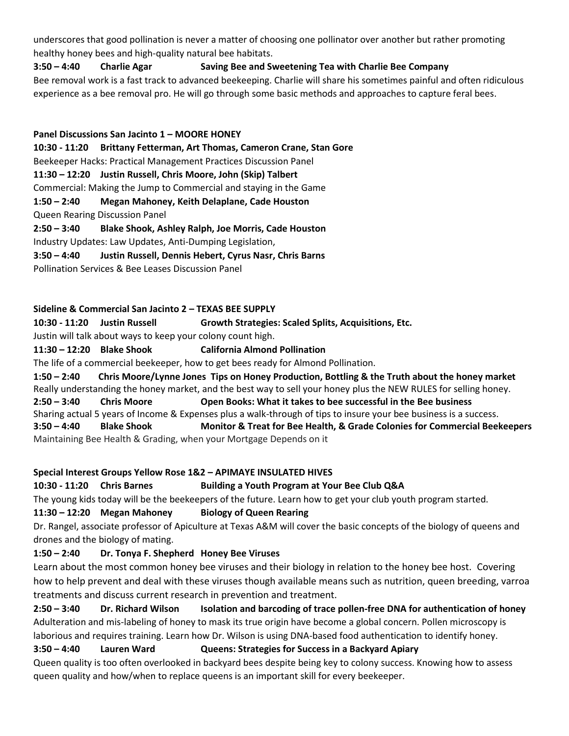underscores that good pollination is never a matter of choosing one pollinator over another but rather promoting healthy honey bees and high-quality natural bee habitats.

#### **3:50 – 4:40 Charlie Agar Saving Bee and Sweetening Tea with Charlie Bee Company**

Bee removal work is a fast track to advanced beekeeping. Charlie will share his sometimes painful and often ridiculous experience as a bee removal pro. He will go through some basic methods and approaches to capture feral bees.

**Panel Discussions San Jacinto 1 – MOORE HONEY 10:30 - 11:20 Brittany Fetterman, Art Thomas, Cameron Crane, Stan Gore** Beekeeper Hacks: Practical Management Practices Discussion Panel **11:30 – 12:20 Justin Russell, Chris Moore, John (Skip) Talbert** Commercial: Making the Jump to Commercial and staying in the Game **1:50 – 2:40 Megan Mahoney, Keith Delaplane, Cade Houston** Queen Rearing Discussion Panel **2:50 – 3:40 Blake Shook, Ashley Ralph, Joe Morris, Cade Houston** Industry Updates: Law Updates, Anti-Dumping Legislation, **3:50 – 4:40 Justin Russell, Dennis Hebert, Cyrus Nasr, Chris Barns** Pollination Services & Bee Leases Discussion Panel

#### **Sideline & Commercial San Jacinto 2 – TEXAS BEE SUPPLY**

**10:30 - 11:20 Justin Russell Growth Strategies: Scaled Splits, Acquisitions, Etc.**

Justin will talk about ways to keep your colony count high.

# **11:30 – 12:20 Blake Shook California Almond Pollination**

The life of a commercial beekeeper, how to get bees ready for Almond Pollination.

**1:50 – 2:40 Chris Moore/Lynne Jones Tips on Honey Production, Bottling & the Truth about the honey market** Really understanding the honey market, and the best way to sell your honey plus the NEW RULES for selling honey. **2:50 – 3:40 Chris Moore Open Books: What it takes to bee successful in the Bee business** Sharing actual 5 years of Income & Expenses plus a walk-through of tips to insure your bee business is a success. **3:50 – 4:40 Blake Shook Monitor & Treat for Bee Health, & Grade Colonies for Commercial Beekeepers** Maintaining Bee Health & Grading, when your Mortgage Depends on it

# **Special Interest Groups Yellow Rose 1&2 – APIMAYE INSULATED HIVES**

# **10:30 - 11:20 Chris Barnes Building a Youth Program at Your Bee Club Q&A**

The young kids today will be the beekeepers of the future. Learn how to get your club youth program started.

# **11:30 – 12:20 Megan Mahoney Biology of Queen Rearing**

Dr. Rangel, associate professor of Apiculture at Texas A&M will cover the basic concepts of the biology of queens and drones and the biology of mating.

# **1:50 – 2:40 Dr. Tonya F. Shepherd Honey Bee Viruses**

Learn about the most common honey bee viruses and their biology in relation to the honey bee host. Covering how to help prevent and deal with these viruses though available means such as nutrition, queen breeding, varroa treatments and discuss current research in prevention and treatment.

**2:50 – 3:40 Dr. Richard Wilson Isolation and barcoding of trace pollen-free DNA for authentication of honey** Adulteration and mis-labeling of honey to mask its true origin have become a global concern. Pollen microscopy is laborious and requires training. Learn how Dr. Wilson is using DNA-based food authentication to identify honey.

# **3:50 – 4:40 Lauren Ward Queens: Strategies for Success in a Backyard Apiary**

Queen quality is too often overlooked in backyard bees despite being key to colony success. Knowing how to assess queen quality and how/when to replace queens is an important skill for every beekeeper.